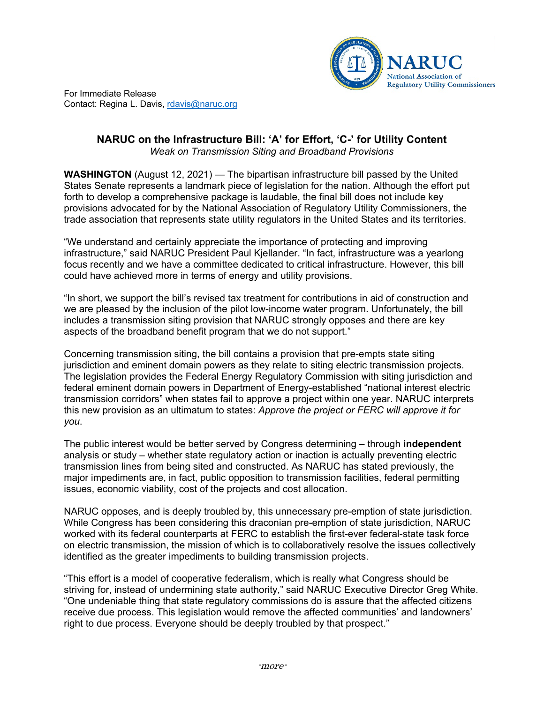

For Immediate Release Contact: Regina L. Davis, [rdavis@naruc.org](mailto:rdavis@naruc.org)

## **NARUC on the Infrastructure Bill: 'A' for Effort, 'C-' for Utility Content** *Weak on Transmission Siting and Broadband Provisions*

**WASHINGTON** (August 12, 2021) — The bipartisan infrastructure bill passed by the United States Senate represents a landmark piece of legislation for the nation. Although the effort put forth to develop a comprehensive package is laudable, the final bill does not include key provisions advocated for by the National Association of Regulatory Utility Commissioners, the trade association that represents state utility regulators in the United States and its territories.

"We understand and certainly appreciate the importance of protecting and improving infrastructure," said NARUC President Paul Kjellander. "In fact, infrastructure was a yearlong focus recently and we have a committee dedicated to critical infrastructure. However, this bill could have achieved more in terms of energy and utility provisions.

"In short, we support the bill's revised tax treatment for contributions in aid of construction and we are pleased by the inclusion of the pilot low-income water program. Unfortunately, the bill includes a transmission siting provision that NARUC strongly opposes and there are key aspects of the broadband benefit program that we do not support."

Concerning transmission siting, the bill contains a provision that pre-empts state siting jurisdiction and eminent domain powers as they relate to siting electric transmission projects. The legislation provides the Federal Energy Regulatory Commission with siting jurisdiction and federal eminent domain powers in Department of Energy-established "national interest electric transmission corridors" when states fail to approve a project within one year. NARUC interprets this new provision as an ultimatum to states: *Approve the project or FERC will approve it for you*.

The public interest would be better served by Congress determining – through **independent** analysis or study – whether state regulatory action or inaction is actually preventing electric transmission lines from being sited and constructed. As NARUC has stated previously, the major impediments are, in fact, public opposition to transmission facilities, federal permitting issues, economic viability, cost of the projects and cost allocation.

NARUC opposes, and is deeply troubled by, this unnecessary pre-emption of state jurisdiction. While Congress has been considering this draconian pre-emption of state jurisdiction, NARUC worked with its federal counterparts at FERC to establish the first-ever federal-state task force on electric transmission, the mission of which is to collaboratively resolve the issues collectively identified as the greater impediments to building transmission projects.

"This effort is a model of cooperative federalism, which is really what Congress should be striving for, instead of undermining state authority," said NARUC Executive Director Greg White. "One undeniable thing that state regulatory commissions do is assure that the affected citizens receive due process. This legislation would remove the affected communities' and landowners' right to due process. Everyone should be deeply troubled by that prospect."